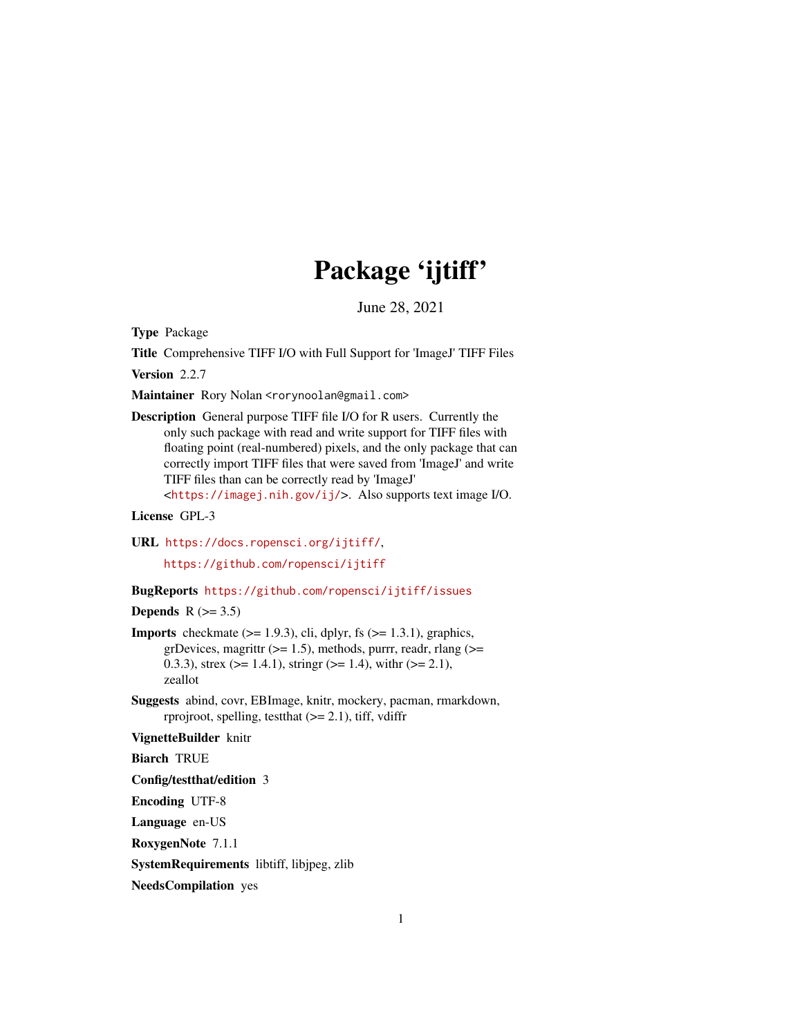# Package 'ijtiff'

June 28, 2021

<span id="page-0-0"></span>Type Package

Title Comprehensive TIFF I/O with Full Support for 'ImageJ' TIFF Files

Version 2.2.7

Maintainer Rory Nolan <rorynoolan@gmail.com>

Description General purpose TIFF file I/O for R users. Currently the only such package with read and write support for TIFF files with floating point (real-numbered) pixels, and the only package that can correctly import TIFF files that were saved from 'ImageJ' and write TIFF files than can be correctly read by 'ImageJ' <<https://imagej.nih.gov/ij/>>. Also supports text image I/O.

License GPL-3

URL <https://docs.ropensci.org/ijtiff/>, <https://github.com/ropensci/ijtiff>

# BugReports <https://github.com/ropensci/ijtiff/issues>

# Depends  $R$  ( $>= 3.5$ )

- **Imports** checkmate  $(>= 1.9.3)$ , cli, dplyr, fs  $(>= 1.3.1)$ , graphics, grDevices, magrittr  $(>= 1.5)$ , methods, purrr, readr, rlang  $(>=$ 0.3.3), strex ( $>= 1.4.1$ ), stringr ( $>= 1.4$ ), with  $(>= 2.1)$ , zeallot
- Suggests abind, covr, EBImage, knitr, mockery, pacman, rmarkdown, rprojroot, spelling, test that  $(>= 2.1)$ , tiff, vdiffr

#### VignetteBuilder knitr

Biarch TRUE

Config/testthat/edition 3

Encoding UTF-8

Language en-US

RoxygenNote 7.1.1

SystemRequirements libtiff, libjpeg, zlib

NeedsCompilation yes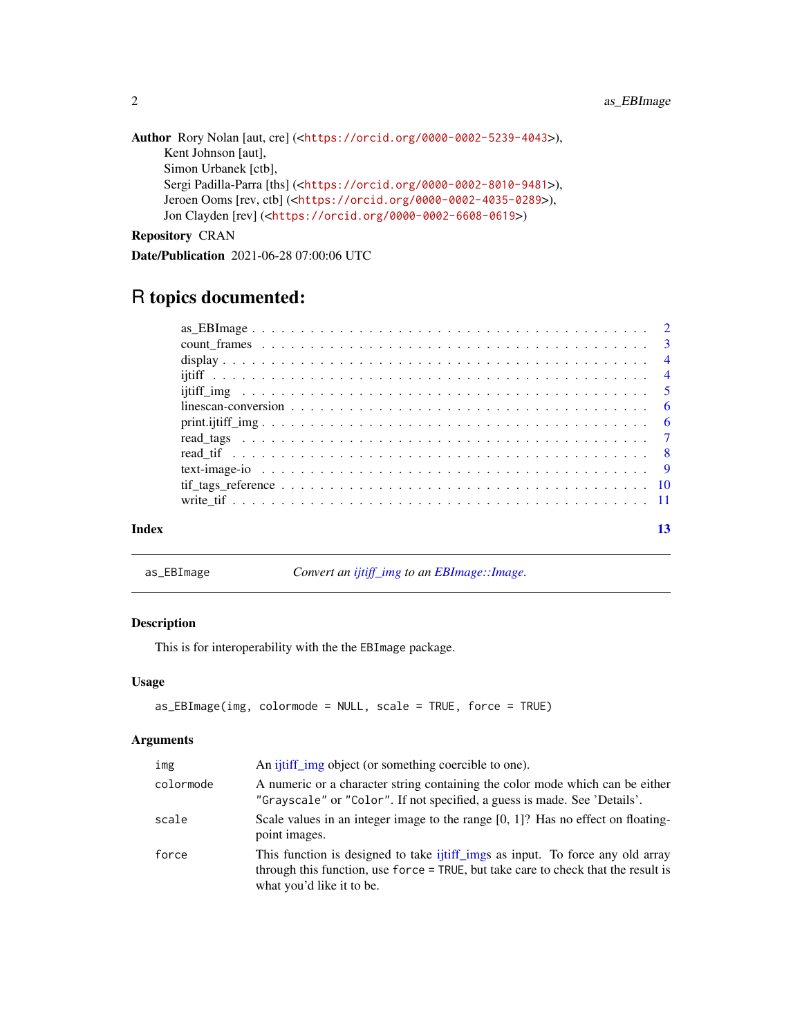```
Author Rory Nolan [aut, cre] (<https://orcid.org/0000-0002-5239-4043>),
     Kent Johnson [aut],
     Simon Urbanek [ctb],
     Sergi Padilla-Parra [ths] (<https://orcid.org/0000-0002-8010-9481>),
     Jeroen Ooms [rev, ctb] (<https://orcid.org/0000-0002-4035-0289>),
     Jon Clayden [rev] (<https://orcid.org/0000-0002-6608-0619>)
```
# Repository CRAN

Date/Publication 2021-06-28 07:00:06 UTC

# R topics documented:

| Index |  |
|-------|--|

as\_EBImage *Convert an [ijtiff\\_img](#page-4-1) to an [EBImage::Image.](#page-0-0)*

# Description

This is for interoperability with the the EBImage package.

#### Usage

```
as_EBImage(img, colormode = NULL, scale = TRUE, force = TRUE)
```
# Arguments

| img       | An <i>i</i> itiff img object (or something coercible to one).                                                                                                                                     |
|-----------|---------------------------------------------------------------------------------------------------------------------------------------------------------------------------------------------------|
| colormode | A numeric or a character string containing the color mode which can be either<br>"Grayscale" or "Color". If not specified, a guess is made. See 'Details'.                                        |
| scale     | Scale values in an integer image to the range $[0, 1]$ ? Has no effect on floating-<br>point images.                                                                                              |
| force     | This function is designed to take ijtiff imgs as input. To force any old array<br>through this function, use force = TRUE, but take care to check that the result is<br>what you'd like it to be. |

<span id="page-1-0"></span>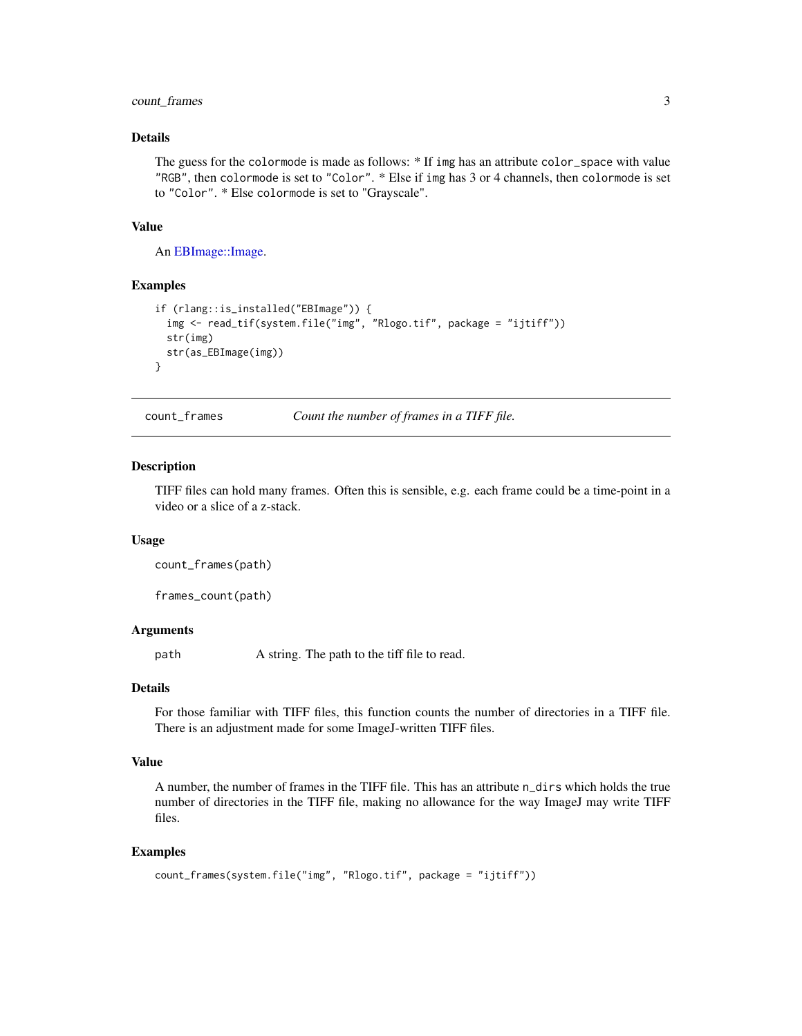# <span id="page-2-0"></span>count\_frames 3

# Details

The guess for the colormode is made as follows: \* If img has an attribute color\_space with value "RGB", then colormode is set to "Color". \* Else if img has 3 or 4 channels, then colormode is set to "Color". \* Else colormode is set to "Grayscale".

#### Value

An [EBImage::Image.](#page-0-0)

### Examples

```
if (rlang::is_installed("EBImage")) {
 img <- read_tif(system.file("img", "Rlogo.tif", package = "ijtiff"))
 str(img)
 str(as_EBImage(img))
}
```
count\_frames *Count the number of frames in a TIFF file.*

#### Description

TIFF files can hold many frames. Often this is sensible, e.g. each frame could be a time-point in a video or a slice of a z-stack.

#### Usage

count\_frames(path)

frames\_count(path)

# Arguments

path A string. The path to the tiff file to read.

# Details

For those familiar with TIFF files, this function counts the number of directories in a TIFF file. There is an adjustment made for some ImageJ-written TIFF files.

# Value

A number, the number of frames in the TIFF file. This has an attribute n\_dirs which holds the true number of directories in the TIFF file, making no allowance for the way ImageJ may write TIFF files.

#### Examples

```
count_frames(system.file("img", "Rlogo.tif", package = "ijtiff"))
```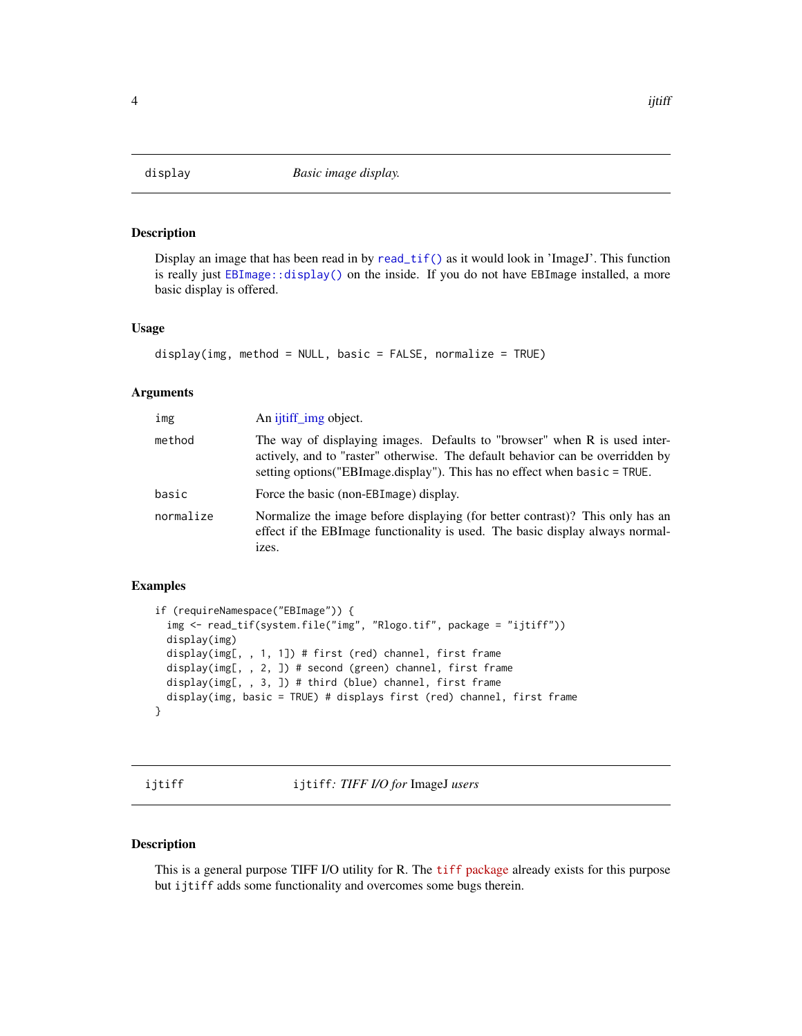<span id="page-3-0"></span>

# Description

Display an image that has been read in by [read\\_tif\(\)](#page-7-1) as it would look in 'ImageJ'. This function is really just [EBImage::display\(\)](#page-0-0) on the inside. If you do not have EBImage installed, a more basic display is offered.

#### Usage

```
display(img, method = NULL, basic = FALSE, normalize = TRUE)
```
#### Arguments

| img       | An ijtiff img object.                                                                                                                                                                                                                     |
|-----------|-------------------------------------------------------------------------------------------------------------------------------------------------------------------------------------------------------------------------------------------|
| method    | The way of displaying images. Defaults to "browser" when R is used inter-<br>actively, and to "raster" otherwise. The default behavior can be overridden by<br>setting options ("EBImage.display"). This has no effect when basic = TRUE. |
| basic     | Force the basic (non-EBI mage) display.                                                                                                                                                                                                   |
| normalize | Normalize the image before displaying (for better contrast)? This only has an<br>effect if the EBI mage functionality is used. The basic display always normal-<br>izes.                                                                  |

# Examples

```
if (requireNamespace("EBImage")) {
 img <- read_tif(system.file("img", "Rlogo.tif", package = "ijtiff"))
 display(img)
 display(img[, , 1, 1]) # first (red) channel, first frame
 display(img[, , 2, ]) # second (green) channel, first frame
 display(img[, , 3, ]) # third (blue) channel, first frame
 display(img, basic = TRUE) # displays first (red) channel, first frame
}
```
ijtiff ijtiff*: TIFF I/O for* ImageJ *users*

# Description

This is a general purpose TIFF I/O utility for R. The tiff [package](https://cran.r-project.org/package=tiff) already exists for this purpose but ijtiff adds some functionality and overcomes some bugs therein.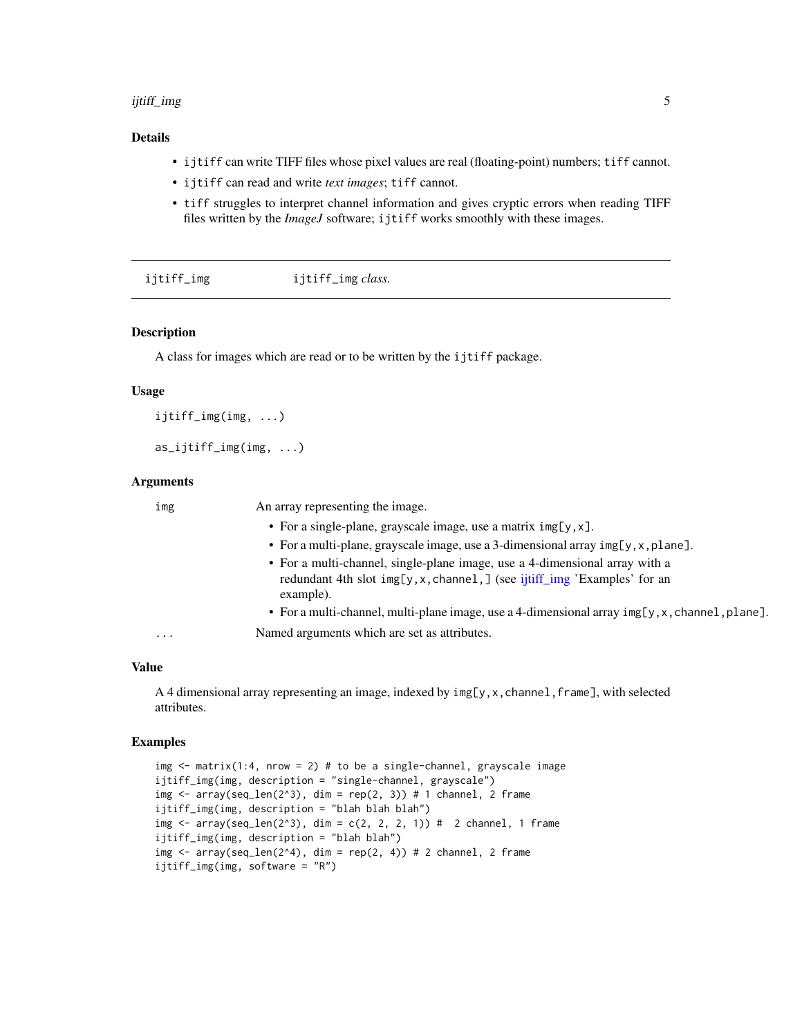#### <span id="page-4-0"></span>ijtiff\_img 5

# Details

- ijtiff can write TIFF files whose pixel values are real (floating-point) numbers; tiff cannot.
- ijtiff can read and write *text images*; tiff cannot.
- tiff struggles to interpret channel information and gives cryptic errors when reading TIFF files written by the *ImageJ* software; ijtiff works smoothly with these images.

<span id="page-4-1"></span>

| ijtiff_img | ijtiff_img <i>class</i> . |  |
|------------|---------------------------|--|
|------------|---------------------------|--|

# Description

A class for images which are read or to be written by the ijtiff package.

#### Usage

```
ijtiff_img(img, ...)
```

```
as_ijtiff_img(img, ...)
```
# Arguments

| • For a single-plane, grayscale image, use a matrix $img[y, x]$ .<br>• For a multi-plane, grayscale image, use a 3-dimensional array $img[y, x, plane]$ .<br>• For a multi-channel, single-plane image, use a 4-dimensional array with a<br>redundant 4th slot img[y, x, channel, ] (see ijtiff_img 'Examples' for an<br>example).<br>Named arguments which are set as attributes.<br>. | img | An array representing the image.                                                                  |
|-----------------------------------------------------------------------------------------------------------------------------------------------------------------------------------------------------------------------------------------------------------------------------------------------------------------------------------------------------------------------------------------|-----|---------------------------------------------------------------------------------------------------|
|                                                                                                                                                                                                                                                                                                                                                                                         |     |                                                                                                   |
|                                                                                                                                                                                                                                                                                                                                                                                         |     |                                                                                                   |
|                                                                                                                                                                                                                                                                                                                                                                                         |     |                                                                                                   |
|                                                                                                                                                                                                                                                                                                                                                                                         |     | • For a multi-channel, multi-plane image, use a 4-dimensional array $img[y, x, channel, plane]$ . |
|                                                                                                                                                                                                                                                                                                                                                                                         |     |                                                                                                   |

# Value

A 4 dimensional array representing an image, indexed by  $img[y, x, channel, frame]$ , with selected attributes.

## Examples

```
img \le matrix(1:4, nrow = 2) # to be a single-channel, grayscale image
ijtiff_img(img, description = "single-channel, grayscale")
img \leq array(seq_len(2^3), dim = rep(2, 3)) # 1 channel, 2 frame
ijtiff_img(img, description = "blah blah blah")
img \leq array(seq_len(2^3), dim = c(2, 2, 2, 1)) # 2 channel, 1 frame
ijtiff_img(img, description = "blah blah")
img \leq array(seq_len(2^4), dim = rep(2, 4)) # 2 channel, 2 frame
ijtiff_img(img, software = "R")
```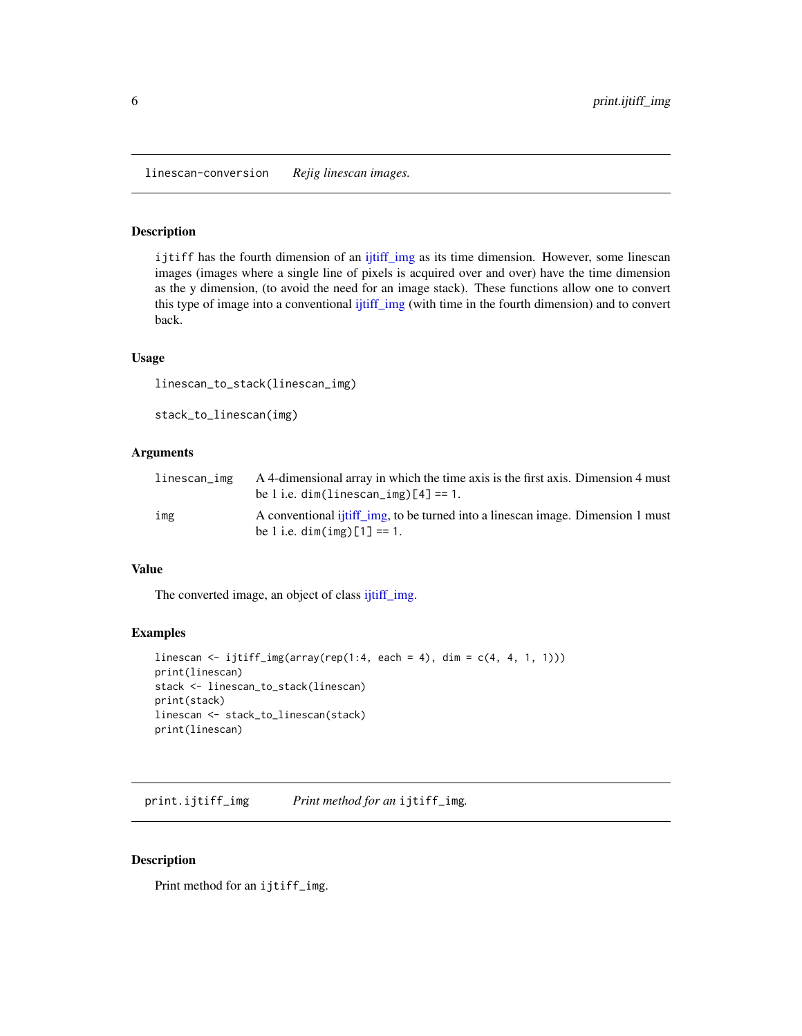<span id="page-5-0"></span>linescan-conversion *Rejig linescan images.*

#### Description

ijtiff has the fourth dimension of an [ijtiff\\_img](#page-4-1) as its time dimension. However, some linescan images (images where a single line of pixels is acquired over and over) have the time dimension as the y dimension, (to avoid the need for an image stack). These functions allow one to convert this type of image into a conventional [ijtiff\\_img](#page-4-1) (with time in the fourth dimension) and to convert back.

#### Usage

```
linescan_to_stack(linescan_img)
```
stack\_to\_linescan(img)

# Arguments

| linescan_img | A 4-dimensional array in which the time axis is the first axis. Dimension 4 must<br>be 1 i.e. $dim(linescan_img)$ [4] == 1. |
|--------------|-----------------------------------------------------------------------------------------------------------------------------|
| img          | A conventional ijtiff img, to be turned into a linescan image. Dimension 1 must<br>be 1 i.e. $dim(img)[1] == 1$ .           |

#### Value

The converted image, an object of class [ijtiff\\_img.](#page-4-1)

# Examples

```
linescan <- ijtiff_img(array(rep(1:4, each = 4), dim = c(4, 4, 1, 1)))
print(linescan)
stack <- linescan_to_stack(linescan)
print(stack)
linescan <- stack_to_linescan(stack)
print(linescan)
```
print.ijtiff\_img *Print method for an* ijtiff\_img*.*

#### Description

Print method for an ijtiff\_img.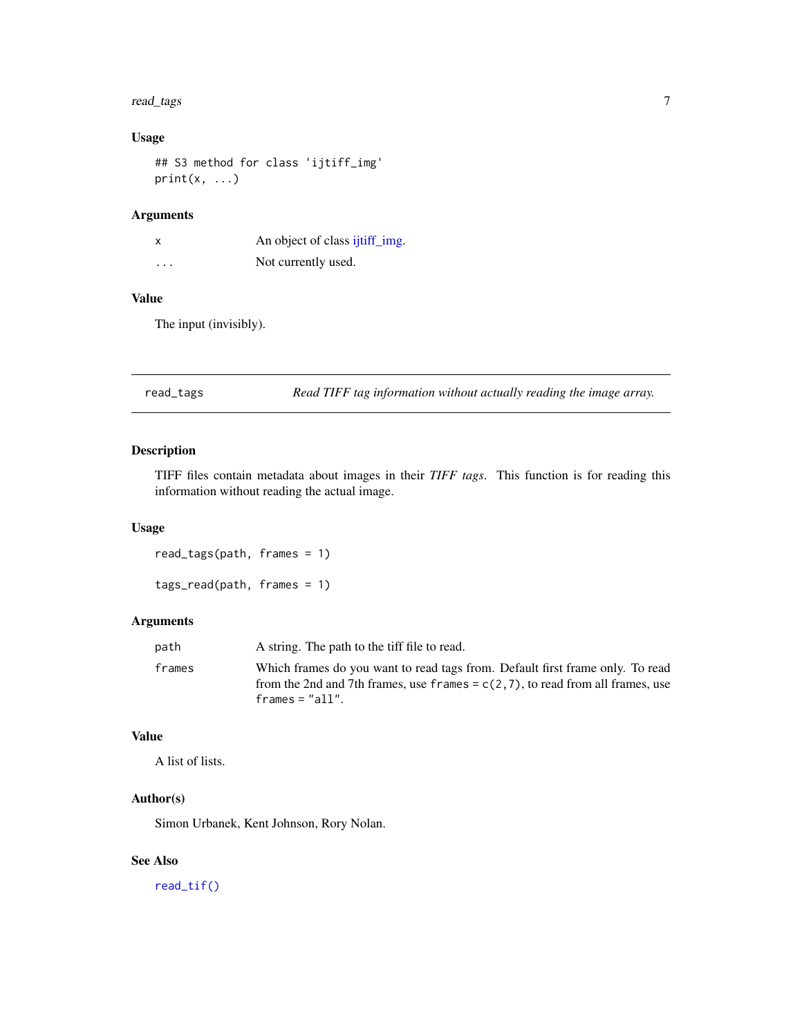#### <span id="page-6-0"></span>read\_tags 7

# Usage

## S3 method for class 'ijtiff\_img'  $print(x, \ldots)$ 

# Arguments

| $\boldsymbol{\mathsf{x}}$ | An object of class ijtiff_img. |
|---------------------------|--------------------------------|
| $\cdots$                  | Not currently used.            |

# Value

The input (invisibly).

read\_tags *Read TIFF tag information without actually reading the image array.*

# Description

TIFF files contain metadata about images in their *TIFF tags*. This function is for reading this information without reading the actual image.

#### Usage

read\_tags(path, frames = 1)

# tags\_read(path, frames = 1)

# Arguments

| path   | A string. The path to the tiff file to read.                                                                                                                       |
|--------|--------------------------------------------------------------------------------------------------------------------------------------------------------------------|
| frames | Which frames do you want to read tags from. Default first frame only. To read<br>from the 2nd and 7th frames, use frames = $c(2,7)$ , to read from all frames, use |
|        | frames = $"all".$                                                                                                                                                  |

# Value

A list of lists.

# Author(s)

Simon Urbanek, Kent Johnson, Rory Nolan.

# See Also

[read\\_tif\(\)](#page-7-1)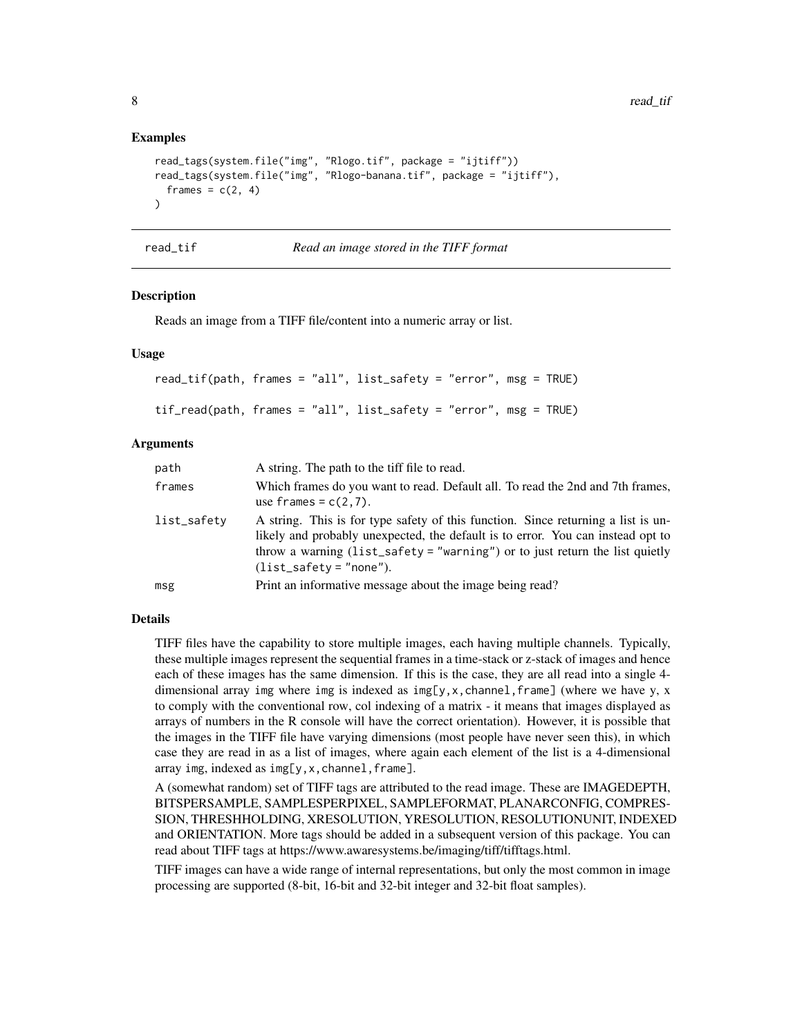### Examples

```
read_tags(system.file("img", "Rlogo.tif", package = "ijtiff"))
read_tags(system.file("img", "Rlogo-banana.tif", package = "ijtiff"),
  frames = c(2, 4)\lambda
```
<span id="page-7-1"></span>

| ead |  |
|-----|--|
|     |  |
|     |  |

*Read an image stored in the TIFF format* 

#### Description

Reads an image from a TIFF file/content into a numeric array or list.

#### Usage

```
read_tif(path, frames = "all", list_safety = "error", msg = TRUE)
tif_read(path, frames = "all", list_safety = "error", msg = TRUE)
```
#### Arguments

| path        | A string. The path to the tiff file to read.                                                                                                                                                                                                                                      |
|-------------|-----------------------------------------------------------------------------------------------------------------------------------------------------------------------------------------------------------------------------------------------------------------------------------|
| frames      | Which frames do you want to read. Default all. To read the 2nd and 7th frames,<br>use frames = $c(2,7)$ .                                                                                                                                                                         |
| list_safety | A string. This is for type safety of this function. Since returning a list is un-<br>likely and probably unexpected, the default is to error. You can instead opt to<br>throw a warning (list_safety = "warning") or to just return the list quietly<br>$(list_safety = "none").$ |
| msg         | Print an informative message about the image being read?                                                                                                                                                                                                                          |

# Details

TIFF files have the capability to store multiple images, each having multiple channels. Typically, these multiple images represent the sequential frames in a time-stack or z-stack of images and hence each of these images has the same dimension. If this is the case, they are all read into a single 4 dimensional array img where img is indexed as  $img[y, x, channel, frame]$  (where we have y, x to comply with the conventional row, col indexing of a matrix - it means that images displayed as arrays of numbers in the R console will have the correct orientation). However, it is possible that the images in the TIFF file have varying dimensions (most people have never seen this), in which case they are read in as a list of images, where again each element of the list is a 4-dimensional array img, indexed as img[y,x,channel,frame].

A (somewhat random) set of TIFF tags are attributed to the read image. These are IMAGEDEPTH, BITSPERSAMPLE, SAMPLESPERPIXEL, SAMPLEFORMAT, PLANARCONFIG, COMPRES-SION, THRESHHOLDING, XRESOLUTION, YRESOLUTION, RESOLUTIONUNIT, INDEXED and ORIENTATION. More tags should be added in a subsequent version of this package. You can read about TIFF tags at https://www.awaresystems.be/imaging/tiff/tifftags.html.

TIFF images can have a wide range of internal representations, but only the most common in image processing are supported (8-bit, 16-bit and 32-bit integer and 32-bit float samples).

<span id="page-7-0"></span>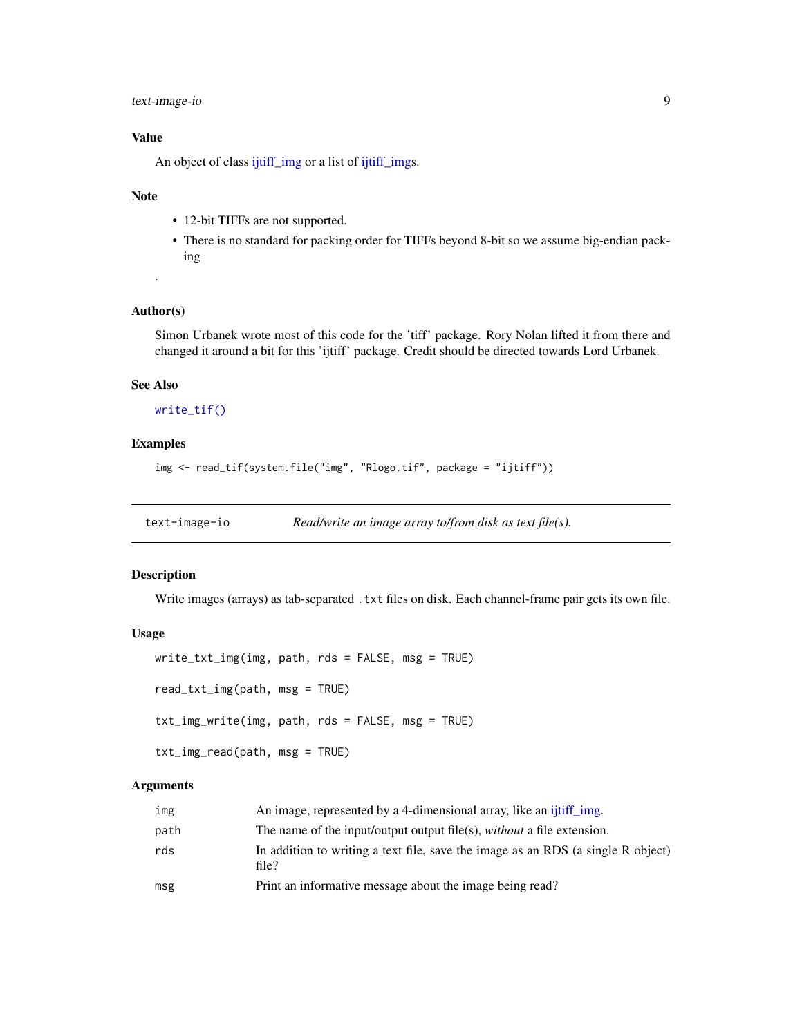# <span id="page-8-0"></span>text-image-io 9

# Value

An object of class [ijtiff\\_img](#page-4-1) or a list of [ijtiff\\_imgs](#page-4-1).

# Note

- 12-bit TIFFs are not supported.
- There is no standard for packing order for TIFFs beyond 8-bit so we assume big-endian packing

### Author(s)

.

Simon Urbanek wrote most of this code for the 'tiff' package. Rory Nolan lifted it from there and changed it around a bit for this 'ijtiff' package. Credit should be directed towards Lord Urbanek.

# See Also

#### [write\\_tif\(\)](#page-10-1)

#### Examples

```
img <- read_tif(system.file("img", "Rlogo.tif", package = "ijtiff"))
```
text-image-io *Read/write an image array to/from disk as text file(s).*

# Description

Write images (arrays) as tab-separated . txt files on disk. Each channel-frame pair gets its own file.

# Usage

```
write_txt_img(img, path, rds = FALSE, msg = TRUE)
read_txt_img(path, msg = TRUE)
txt_img_write(img, path, rds = FALSE, msg = TRUE)
txt_img_read(path, msg = TRUE)
```
# Arguments

| img  | An image, represented by a 4-dimensional array, like an ijtiff img.                       |
|------|-------------------------------------------------------------------------------------------|
| path | The name of the input/output output file(s), <i>without</i> a file extension.             |
| rds  | In addition to writing a text file, save the image as an RDS (a single R object)<br>file? |
| msg  | Print an informative message about the image being read?                                  |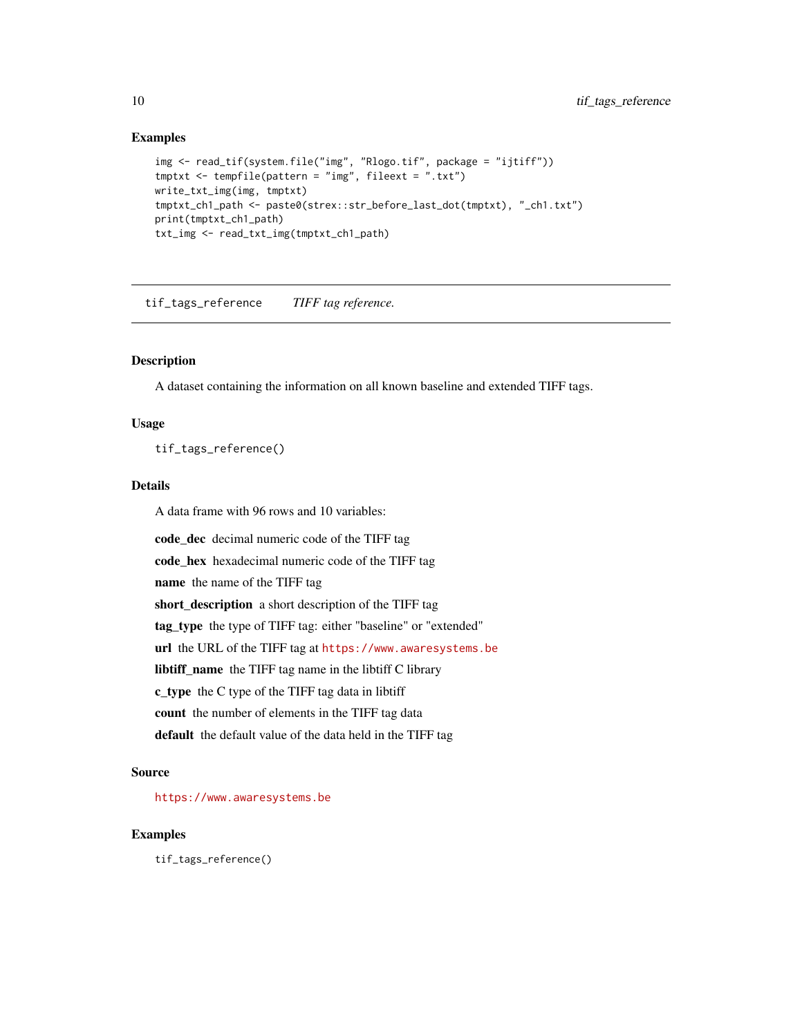# Examples

```
img <- read_tif(system.file("img", "Rlogo.tif", package = "ijtiff"))
tmptxt <- tempfile(pattern = "img", fileext = ".txt")
write_txt_img(img, tmptxt)
tmptxt_ch1_path <- paste0(strex::str_before_last_dot(tmptxt), "_ch1.txt")
print(tmptxt_ch1_path)
txt_img <- read_txt_img(tmptxt_ch1_path)
```
tif\_tags\_reference *TIFF tag reference.*

# Description

A dataset containing the information on all known baseline and extended TIFF tags.

# Usage

tif\_tags\_reference()

#### Details

A data frame with 96 rows and 10 variables:

code\_dec decimal numeric code of the TIFF tag code\_hex hexadecimal numeric code of the TIFF tag name the name of the TIFF tag short\_description a short description of the TIFF tag tag\_type the type of TIFF tag: either "baseline" or "extended" url the URL of the TIFF tag at <https://www.awaresystems.be> libtiff\_name the TIFF tag name in the libtiff C library c\_type the C type of the TIFF tag data in libtiff count the number of elements in the TIFF tag data default the default value of the data held in the TIFF tag

#### Source

<https://www.awaresystems.be>

# Examples

tif\_tags\_reference()

<span id="page-9-0"></span>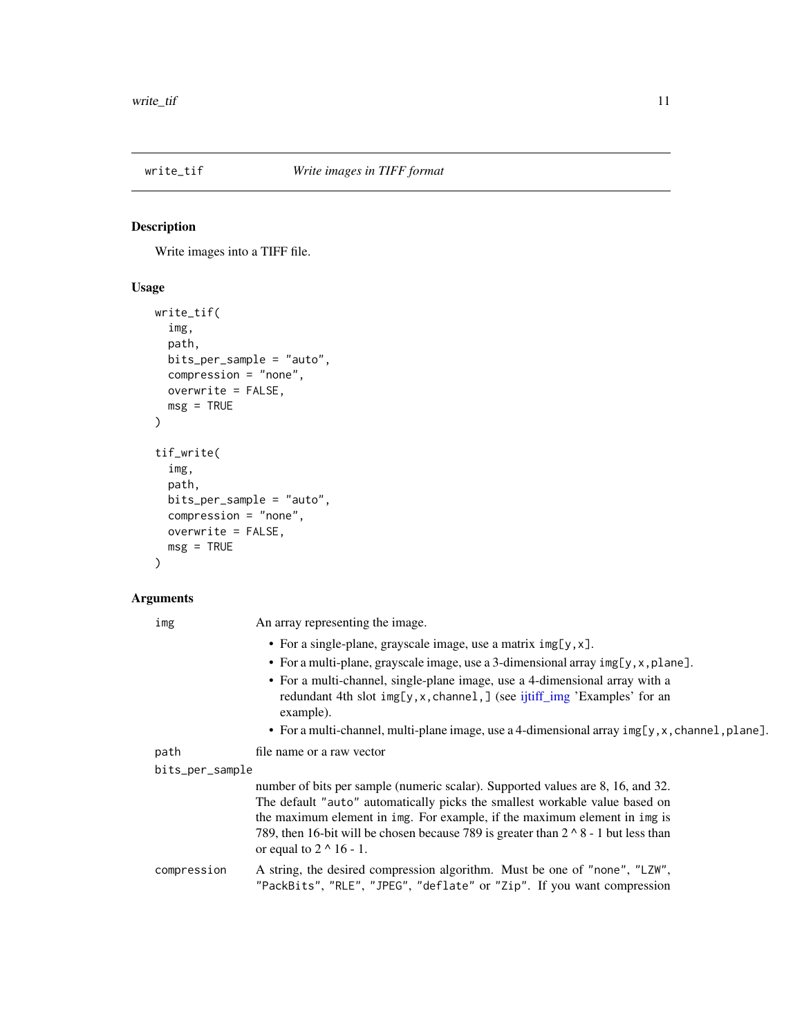<span id="page-10-1"></span><span id="page-10-0"></span>

#### Description

Write images into a TIFF file.

# Usage

```
write_tif(
  img,
  path,
  bits_per_sample = "auto",
  compression = "none",
  overwrite = FALSE,
  msg = TRUE)
tif_write(
  img,
  path,
  bits_per_sample = "auto",
  compression = "none",
  overwrite = FALSE,
  msg = TRUE
)
```
#### Arguments

img An array representing the image.

- For a single-plane, grayscale image, use a matrix img[y,x].
- For a multi-plane, grayscale image, use a 3-dimensional array img[y,x,plane].
- For a multi-channel, single-plane image, use a 4-dimensional array with a redundant 4th slot img[y, x, channel, ] (see [ijtiff\\_img](#page-4-1) 'Examples' for an example).
- For a multi-channel, multi-plane image, use a 4-dimensional array img[y,x,channel,plane].
- path file name or a raw vector

```
bits_per_sample
```
number of bits per sample (numeric scalar). Supported values are 8, 16, and 32. The default "auto" automatically picks the smallest workable value based on the maximum element in img. For example, if the maximum element in img is 789, then 16-bit will be chosen because 789 is greater than  $2 \wedge 8 - 1$  but less than or equal to  $2 \wedge 16 - 1$ .

compression A string, the desired compression algorithm. Must be one of "none", "LZW", "PackBits", "RLE", "JPEG", "deflate" or "Zip". If you want compression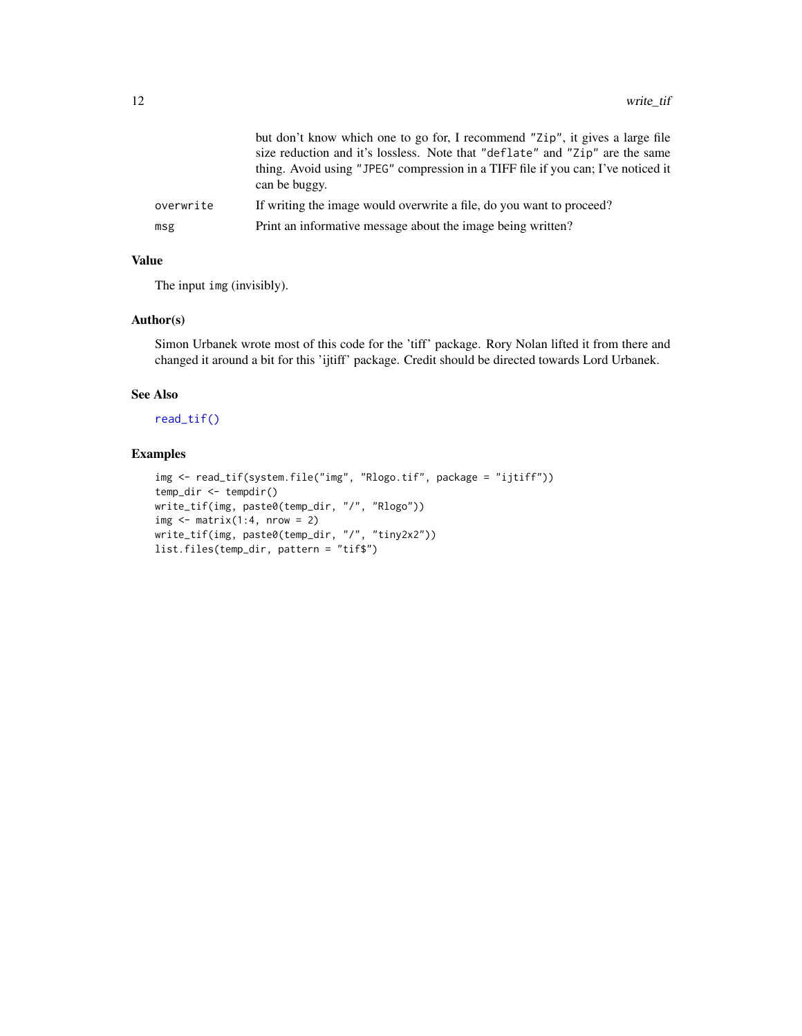<span id="page-11-0"></span>

|           | but don't know which one to go for, I recommend "Zip", it gives a large file<br>size reduction and it's lossless. Note that "deflate" and "Zip" are the same<br>thing. Avoid using "JPEG" compression in a TIFF file if you can; I've noticed it<br>can be buggy. |
|-----------|-------------------------------------------------------------------------------------------------------------------------------------------------------------------------------------------------------------------------------------------------------------------|
| overwrite | If writing the image would overwrite a file, do you want to proceed?                                                                                                                                                                                              |
| msg       | Print an informative message about the image being written?                                                                                                                                                                                                       |

# Value

The input img (invisibly).

# Author(s)

Simon Urbanek wrote most of this code for the 'tiff' package. Rory Nolan lifted it from there and changed it around a bit for this 'ijtiff' package. Credit should be directed towards Lord Urbanek.

# See Also

[read\\_tif\(\)](#page-7-1)

# Examples

```
img <- read_tif(system.file("img", "Rlogo.tif", package = "ijtiff"))
temp_dir <- tempdir()
write_tif(img, paste0(temp_dir, "/", "Rlogo"))
img \leq matrix(1:4, nrow = 2)
write_tif(img, paste0(temp_dir, "/", "tiny2x2"))
list.files(temp_dir, pattern = "tif$")
```